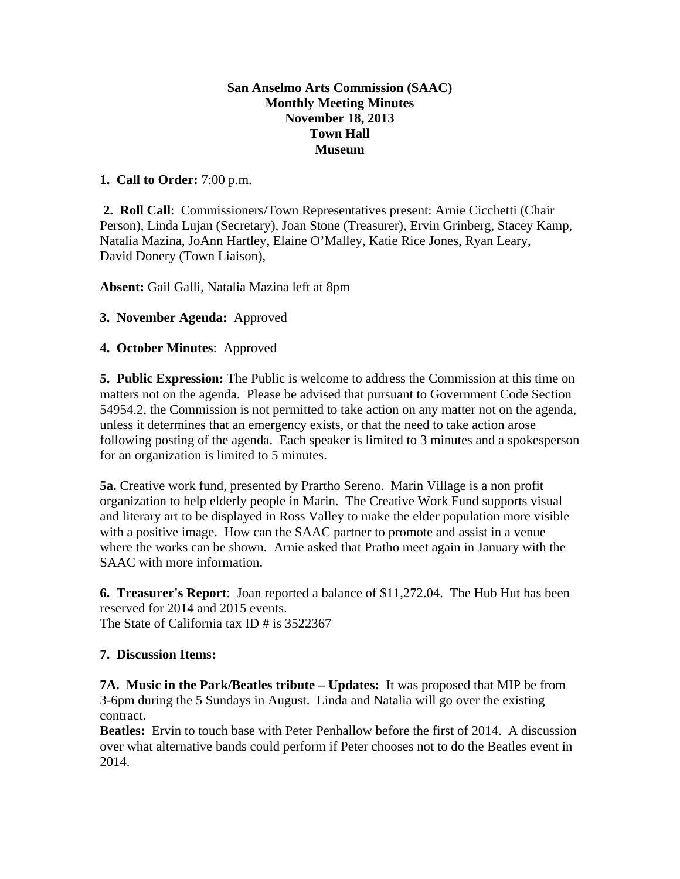## **San Anselmo Arts Commission (SAAC) Monthly Meeting Minutes November 18, 2013 Town Hall Museum**

# **1. Call to Order:** 7:00 p.m.

 **2. Roll Call**: Commissioners/Town Representatives present: Arnie Cicchetti (Chair Person), Linda Lujan (Secretary), Joan Stone (Treasurer), Ervin Grinberg, Stacey Kamp, Natalia Mazina, JoAnn Hartley, Elaine O'Malley, Katie Rice Jones, Ryan Leary, David Donery (Town Liaison),

**Absent:** Gail Galli, Natalia Mazina left at 8pm

## **3. November Agenda:** Approved

## **4. October Minutes**: Approved

**5. Public Expression:** The Public is welcome to address the Commission at this time on matters not on the agenda. Please be advised that pursuant to Government Code Section 54954.2, the Commission is not permitted to take action on any matter not on the agenda, unless it determines that an emergency exists, or that the need to take action arose following posting of the agenda. Each speaker is limited to 3 minutes and a spokesperson for an organization is limited to 5 minutes.

**5a.** Creative work fund, presented by Prartho Sereno. Marin Village is a non profit organization to help elderly people in Marin. The Creative Work Fund supports visual and literary art to be displayed in Ross Valley to make the elder population more visible with a positive image. How can the SAAC partner to promote and assist in a venue where the works can be shown. Arnie asked that Pratho meet again in January with the SAAC with more information.

**6. Treasurer's Report**: Joan reported a balance of \$11,272.04. The Hub Hut has been reserved for 2014 and 2015 events. The State of California tax ID # is 3522367

### **7. Discussion Items:**

**7A. Music in the Park/Beatles tribute – Updates:** It was proposed that MIP be from 3-6pm during the 5 Sundays in August. Linda and Natalia will go over the existing contract.

**Beatles:** Ervin to touch base with Peter Penhallow before the first of 2014. A discussion over what alternative bands could perform if Peter chooses not to do the Beatles event in 2014.